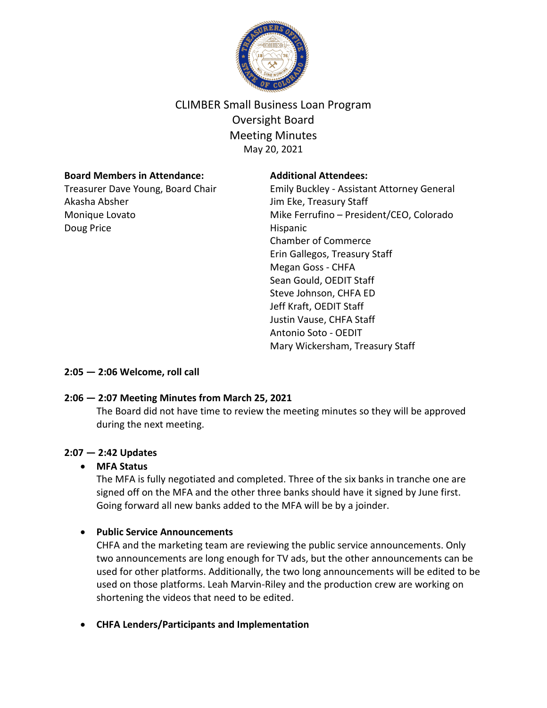

# CLIMBER Small Business Loan Program Oversight Board Meeting Minutes May 20, 2021

## **Board Members in Attendance:**

Treasurer Dave Young, Board Chair Akasha Absher Monique Lovato Doug Price

#### **Additional Attendees:**

Emily Buckley - Assistant Attorney General Jim Eke, Treasury Staff Mike Ferrufino – President/CEO, Colorado Hispanic Chamber of Commerce Erin Gallegos, Treasury Staff Megan Goss - CHFA Sean Gould, OEDIT Staff Steve Johnson, CHFA ED Jeff Kraft, OEDIT Staff Justin Vause, CHFA Staff Antonio Soto - OEDIT Mary Wickersham, Treasury Staff

**2:05 — 2:06 Welcome, roll call**

# **2:06 — 2:07 Meeting Minutes from March 25, 2021**

The Board did not have time to review the meeting minutes so they will be approved during the next meeting.

# **2:07 — 2:42 Updates**

# • **MFA Status**

The MFA is fully negotiated and completed. Three of the six banks in tranche one are signed off on the MFA and the other three banks should have it signed by June first. Going forward all new banks added to the MFA will be by a joinder.

# • **Public Service Announcements**

CHFA and the marketing team are reviewing the public service announcements. Only two announcements are long enough for TV ads, but the other announcements can be used for other platforms. Additionally, the two long announcements will be edited to be used on those platforms. Leah Marvin-Riley and the production crew are working on shortening the videos that need to be edited.

• **CHFA Lenders/Participants and Implementation**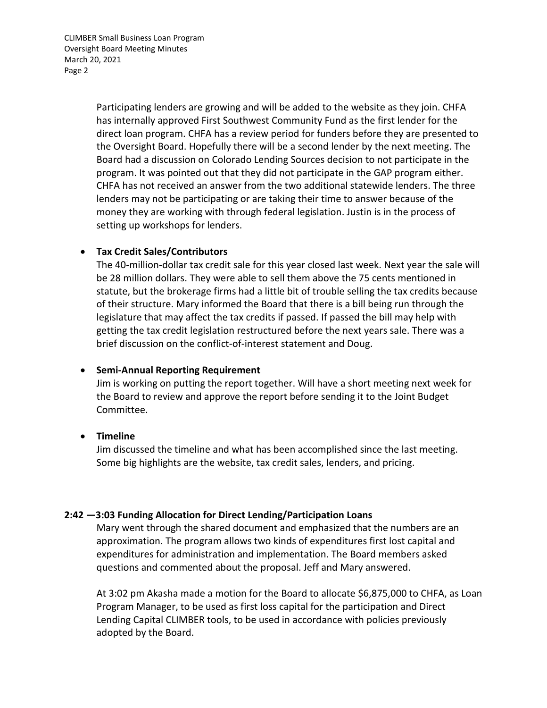CLIMBER Small Business Loan Program Oversight Board Meeting Minutes March 20, 2021 Page 2

> Participating lenders are growing and will be added to the website as they join. CHFA has internally approved First Southwest Community Fund as the first lender for the direct loan program. CHFA has a review period for funders before they are presented to the Oversight Board. Hopefully there will be a second lender by the next meeting. The Board had a discussion on Colorado Lending Sources decision to not participate in the program. It was pointed out that they did not participate in the GAP program either. CHFA has not received an answer from the two additional statewide lenders. The three lenders may not be participating or are taking their time to answer because of the money they are working with through federal legislation. Justin is in the process of setting up workshops for lenders.

#### • **Tax Credit Sales/Contributors**

The 40-million-dollar tax credit sale for this year closed last week. Next year the sale will be 28 million dollars. They were able to sell them above the 75 cents mentioned in statute, but the brokerage firms had a little bit of trouble selling the tax credits because of their structure. Mary informed the Board that there is a bill being run through the legislature that may affect the tax credits if passed. If passed the bill may help with getting the tax credit legislation restructured before the next years sale. There was a brief discussion on the conflict-of-interest statement and Doug.

#### • **Semi-Annual Reporting Requirement**

Jim is working on putting the report together. Will have a short meeting next week for the Board to review and approve the report before sending it to the Joint Budget Committee.

#### • **Timeline**

Jim discussed the timeline and what has been accomplished since the last meeting. Some big highlights are the website, tax credit sales, lenders, and pricing.

#### **2:42 —3:03 Funding Allocation for Direct Lending/Participation Loans**

Mary went through the shared document and emphasized that the numbers are an approximation. The program allows two kinds of expenditures first lost capital and expenditures for administration and implementation. The Board members asked questions and commented about the proposal. Jeff and Mary answered.

At 3:02 pm Akasha made a motion for the Board to allocate \$6,875,000 to CHFA, as Loan Program Manager, to be used as first loss capital for the participation and Direct Lending Capital CLIMBER tools, to be used in accordance with policies previously adopted by the Board.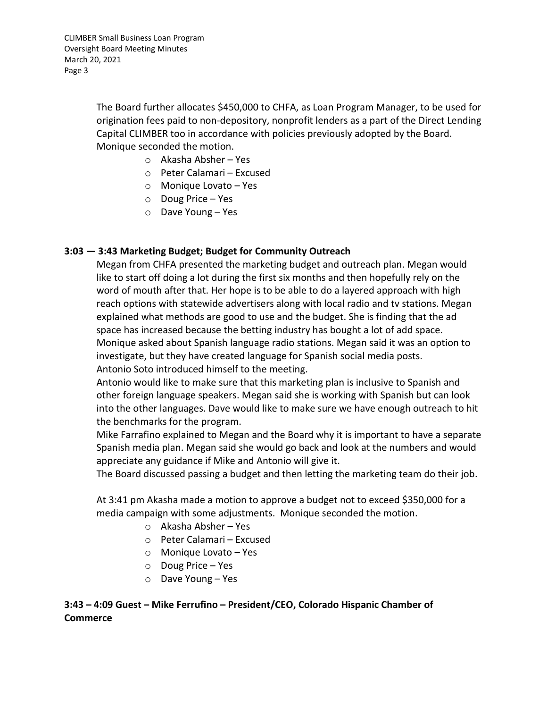The Board further allocates \$450,000 to CHFA, as Loan Program Manager, to be used for origination fees paid to non-depository, nonprofit lenders as a part of the Direct Lending Capital CLIMBER too in accordance with policies previously adopted by the Board. Monique seconded the motion.

- o Akasha Absher Yes
- o Peter Calamari Excused
- o Monique Lovato Yes
- o Doug Price Yes
- o Dave Young Yes

## **3:03 — 3:43 Marketing Budget; Budget for Community Outreach**

Megan from CHFA presented the marketing budget and outreach plan. Megan would like to start off doing a lot during the first six months and then hopefully rely on the word of mouth after that. Her hope is to be able to do a layered approach with high reach options with statewide advertisers along with local radio and tv stations. Megan explained what methods are good to use and the budget. She is finding that the ad space has increased because the betting industry has bought a lot of add space. Monique asked about Spanish language radio stations. Megan said it was an option to investigate, but they have created language for Spanish social media posts. Antonio Soto introduced himself to the meeting.

Antonio would like to make sure that this marketing plan is inclusive to Spanish and other foreign language speakers. Megan said she is working with Spanish but can look into the other languages. Dave would like to make sure we have enough outreach to hit the benchmarks for the program.

Mike Farrafino explained to Megan and the Board why it is important to have a separate Spanish media plan. Megan said she would go back and look at the numbers and would appreciate any guidance if Mike and Antonio will give it.

The Board discussed passing a budget and then letting the marketing team do their job.

At 3:41 pm Akasha made a motion to approve a budget not to exceed \$350,000 for a media campaign with some adjustments. Monique seconded the motion.

- o Akasha Absher Yes
- o Peter Calamari Excused
- o Monique Lovato Yes
- o Doug Price Yes
- o Dave Young Yes

**3:43 – 4:09 Guest – Mike Ferrufino – President/CEO, Colorado Hispanic Chamber of Commerce**